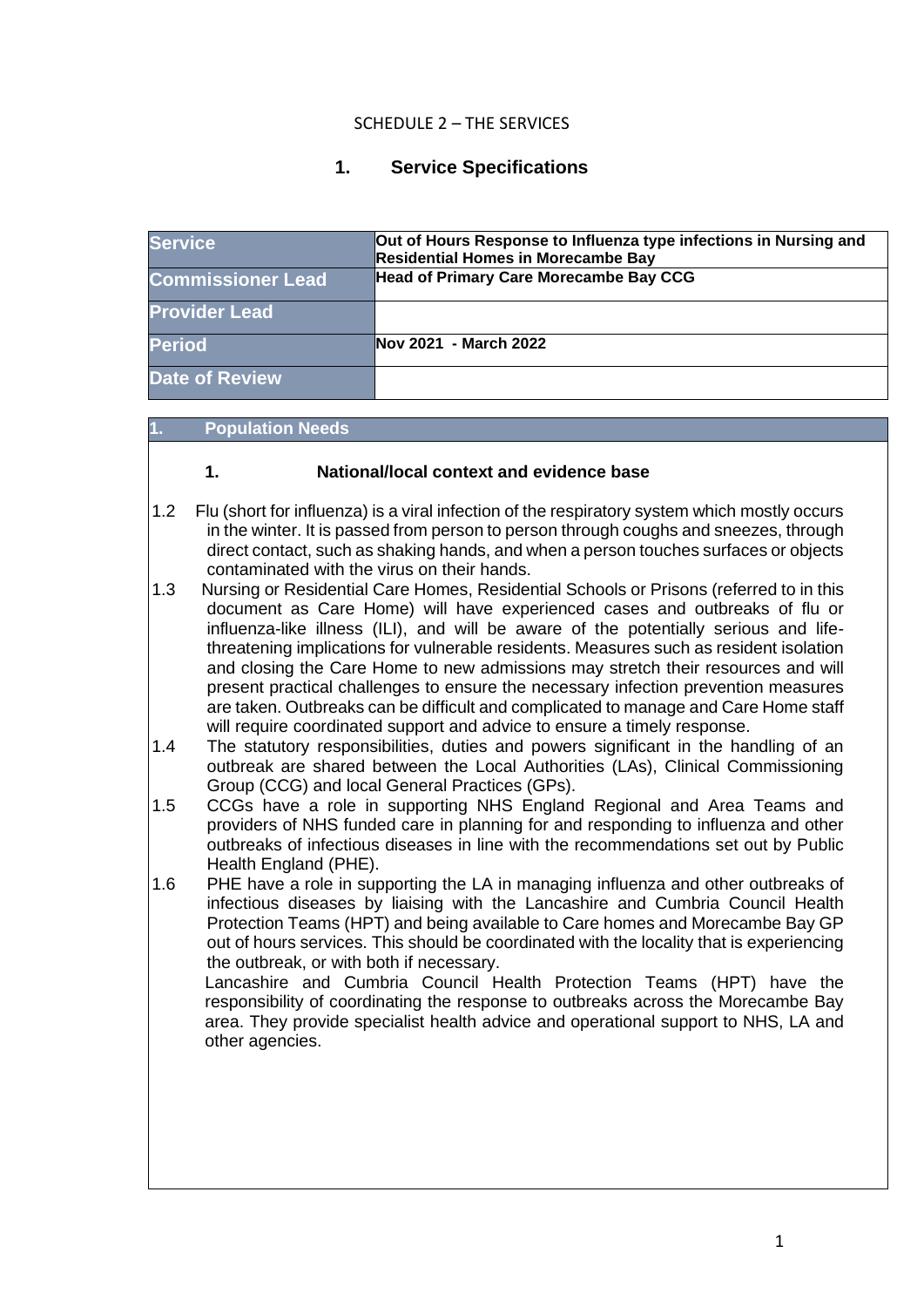### SCHEDULE 2 – THE SERVICES

## **1. Service Specifications**

| <b>Service</b>           | Out of Hours Response to Influenza type infections in Nursing and<br><b>Residential Homes in Morecambe Bay</b> |
|--------------------------|----------------------------------------------------------------------------------------------------------------|
| <b>Commissioner Lead</b> | Head of Primary Care Morecambe Bay CCG                                                                         |
| <b>Provider Lead</b>     |                                                                                                                |
| <b>Period</b>            | Nov 2021 - March 2022                                                                                          |
| <b>Date of Review</b>    |                                                                                                                |

#### **1. Population Needs**

### **1. National/local context and evidence base**

- 1.2 Flu (short for influenza) is a viral infection of the respiratory system which mostly occurs in the winter. It is passed from person to person through coughs and sneezes, through direct contact, such as shaking hands, and when a person touches surfaces or objects contaminated with the virus on their hands.
- 1.3 Nursing or Residential Care Homes, Residential Schools or Prisons (referred to in this document as Care Home) will have experienced cases and outbreaks of flu or influenza-like illness (ILI), and will be aware of the potentially serious and lifethreatening implications for vulnerable residents. Measures such as resident isolation and closing the Care Home to new admissions may stretch their resources and will present practical challenges to ensure the necessary infection prevention measures are taken. Outbreaks can be difficult and complicated to manage and Care Home staff will require coordinated support and advice to ensure a timely response.
- 1.4 The statutory responsibilities, duties and powers significant in the handling of an outbreak are shared between the Local Authorities (LAs), Clinical Commissioning Group (CCG) and local General Practices (GPs).
- 1.5 CCGs have a role in supporting NHS England Regional and Area Teams and providers of NHS funded care in planning for and responding to influenza and other outbreaks of infectious diseases in line with the recommendations set out by Public Health England (PHE).
- 1.6 PHE have a role in supporting the LA in managing influenza and other outbreaks of infectious diseases by liaising with the Lancashire and Cumbria Council Health Protection Teams (HPT) and being available to Care homes and Morecambe Bay GP out of hours services. This should be coordinated with the locality that is experiencing the outbreak, or with both if necessary.

Lancashire and Cumbria Council Health Protection Teams (HPT) have the responsibility of coordinating the response to outbreaks across the Morecambe Bay area. They provide specialist health advice and operational support to NHS, LA and other agencies.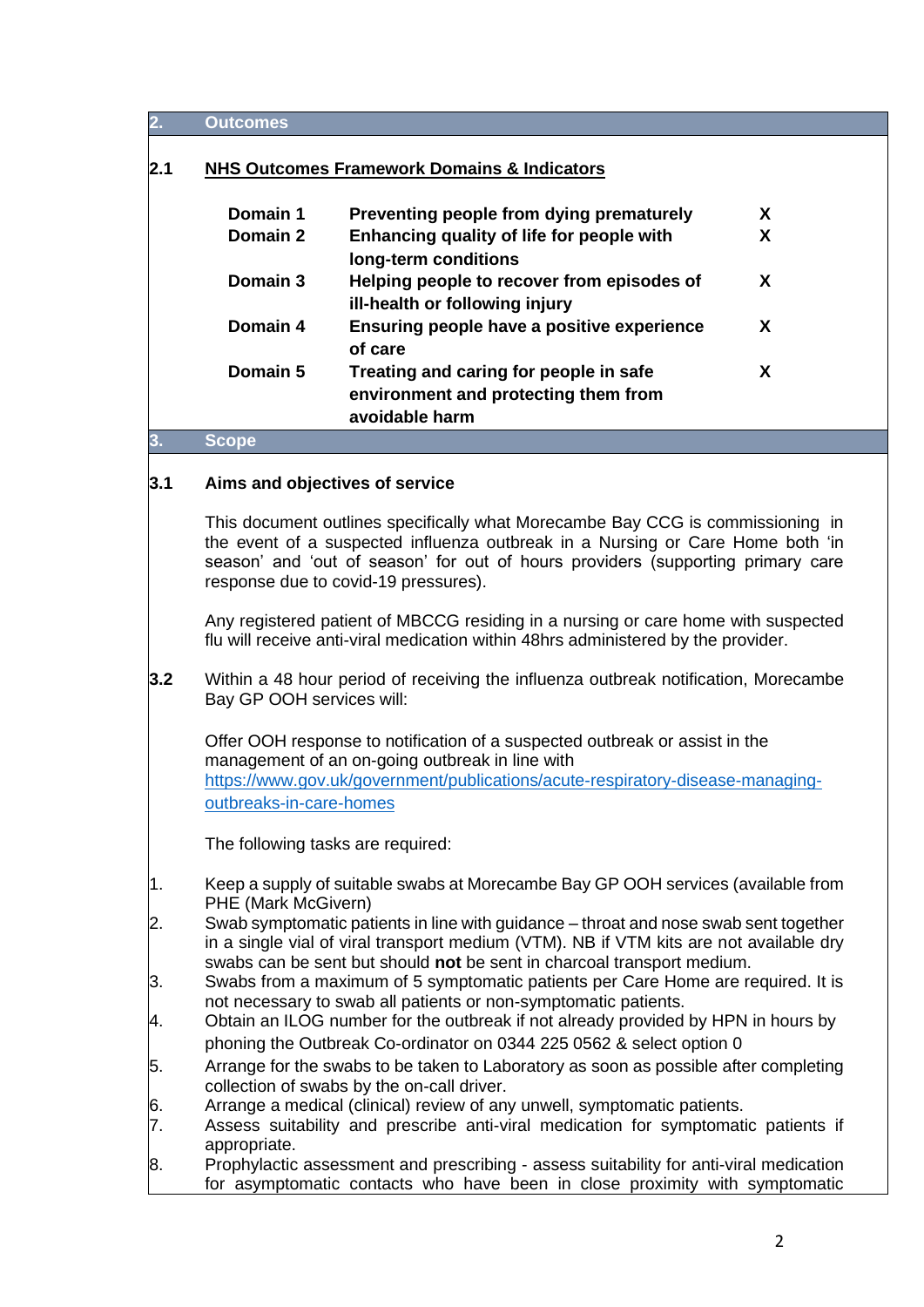|          | <b>NHS Outcomes Framework Domains &amp; Indicators</b>                                           |   |
|----------|--------------------------------------------------------------------------------------------------|---|
| Domain 1 | Preventing people from dying prematurely                                                         | X |
| Domain 2 | Enhancing quality of life for people with<br>long-term conditions                                | X |
| Domain 3 | Helping people to recover from episodes of<br>ill-health or following injury                     | X |
| Domain 4 | Ensuring people have a positive experience<br>of care                                            | X |
| Domain 5 | Treating and caring for people in safe<br>environment and protecting them from<br>avoidable harm | X |
| Scope    |                                                                                                  |   |

## **3.1 Aims and objectives of service**

This document outlines specifically what Morecambe Bay CCG is commissioning in the event of a suspected influenza outbreak in a Nursing or Care Home both 'in season' and 'out of season' for out of hours providers (supporting primary care response due to covid-19 pressures).

Any registered patient of MBCCG residing in a nursing or care home with suspected flu will receive anti-viral medication within 48hrs administered by the provider.

**3.2** Within a 48 hour period of receiving the influenza outbreak notification, Morecambe Bay GP OOH services will:

Offer OOH response to notification of a suspected outbreak or assist in the management of an on-going outbreak in line with [https://www.gov.uk/government/publications/acute-respiratory-disease-managing](https://www.gov.uk/government/publications/acute-respiratory-disease-managing-outbreaks-in-care-homes)[outbreaks-in-care-homes](https://www.gov.uk/government/publications/acute-respiratory-disease-managing-outbreaks-in-care-homes)

The following tasks are required:

- 1. Keep a supply of suitable swabs at Morecambe Bay GP OOH services (available from PHE (Mark McGivern)
- 2. Swab symptomatic patients in line with guidance throat and nose swab sent together in a single vial of viral transport medium (VTM). NB if VTM kits are not available dry swabs can be sent but should **not** be sent in charcoal transport medium.
- 3. Swabs from a maximum of 5 symptomatic patients per Care Home are required. It is not necessary to swab all patients or non-symptomatic patients.
- 4. Obtain an ILOG number for the outbreak if not already provided by HPN in hours by phoning the Outbreak Co-ordinator on 0344 225 0562 & select option 0
- 5. Arrange for the swabs to be taken to Laboratory as soon as possible after completing collection of swabs by the on-call driver.
- 6. Arrange a medical (clinical) review of any unwell, symptomatic patients.
- 7. Assess suitability and prescribe anti-viral medication for symptomatic patients if appropriate.
- 8. Prophylactic assessment and prescribing assess suitability for anti-viral medication for asymptomatic contacts who have been in close proximity with symptomatic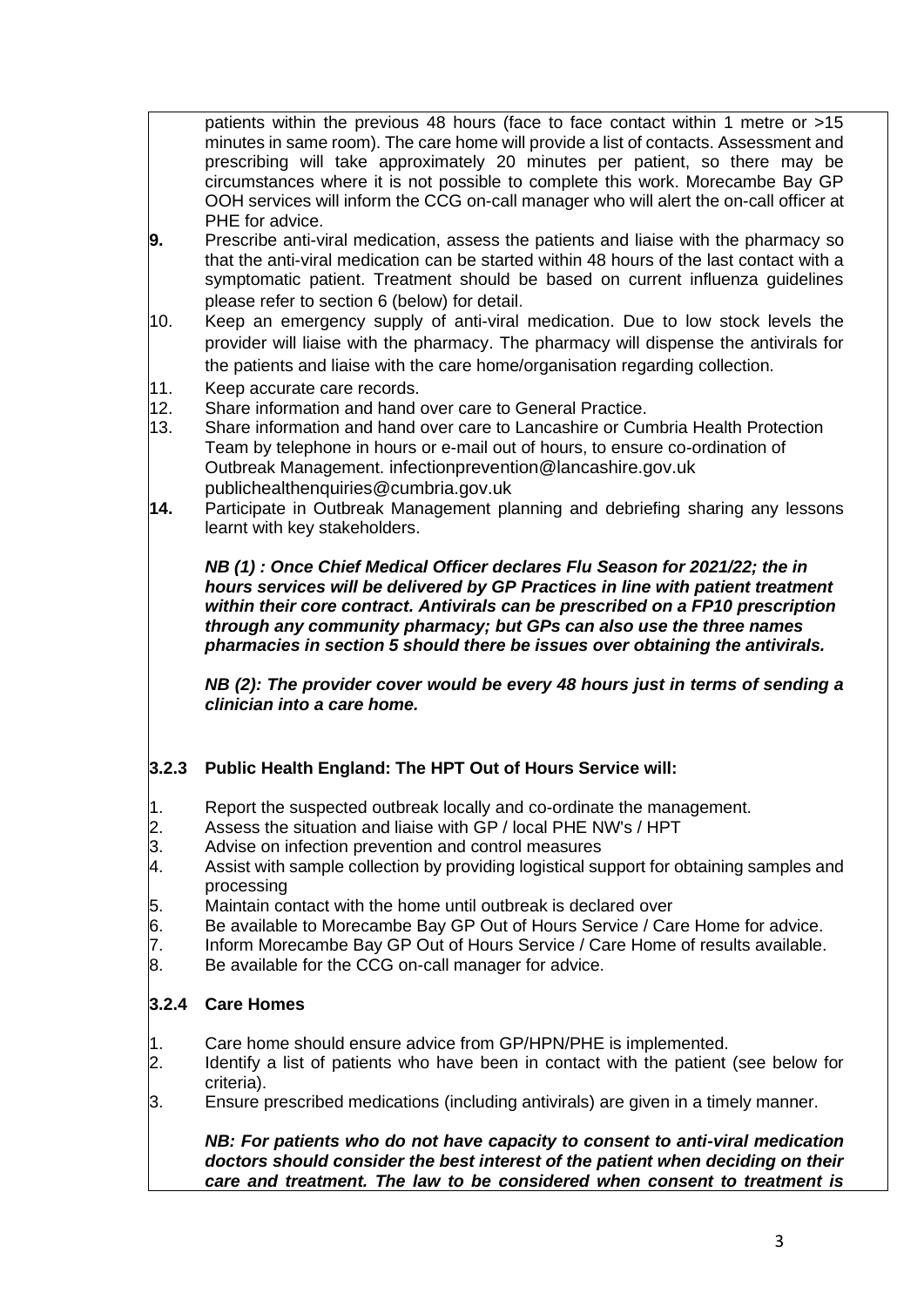patients within the previous 48 hours (face to face contact within 1 metre or >15 minutes in same room). The care home will provide a list of contacts. Assessment and prescribing will take approximately 20 minutes per patient, so there may be circumstances where it is not possible to complete this work. Morecambe Bay GP OOH services will inform the CCG on-call manager who will alert the on-call officer at PHE for advice.

- **9.** Prescribe anti-viral medication, assess the patients and liaise with the pharmacy so that the anti-viral medication can be started within 48 hours of the last contact with a symptomatic patient. Treatment should be based on current influenza guidelines please refer to section 6 (below) for detail.
- 10. Keep an emergency supply of anti-viral medication. Due to low stock levels the provider will liaise with the pharmacy. The pharmacy will dispense the antivirals for the patients and liaise with the care home/organisation regarding collection.
- 11. Keep accurate care records.
- 12. Share information and hand over care to General Practice.
- 13. Share information and hand over care to Lancashire or Cumbria Health Protection Team by telephone in hours or e-mail out of hours, to ensure co-ordination of Outbreak Management. [infectionprevention@lancashire.gov.uk](mailto:infectionprevention@lancashire.gov.uk)  [publichealthenquiries@cumbria.gov.uk](mailto:publichealthenquiries@cumbria.gov.uk)
- **14.** Participate in Outbreak Management planning and debriefing sharing any lessons learnt with key stakeholders.

*NB (1) : Once Chief Medical Officer declares Flu Season for 2021/22; the in hours services will be delivered by GP Practices in line with patient treatment within their core contract. Antivirals can be prescribed on a FP10 prescription through any community pharmacy; but GPs can also use the three names pharmacies in section 5 should there be issues over obtaining the antivirals.*

*NB (2): The provider cover would be every 48 hours just in terms of sending a clinician into a care home.* 

# **3.2.3 Public Health England: The HPT Out of Hours Service will:**

- 1. Report the suspected outbreak locally and co-ordinate the management.
- 2. Assess the situation and liaise with GP / local PHE NW's / HPT
- 3. Advise on infection prevention and control measures
- 4. Assist with sample collection by providing logistical support for obtaining samples and processing
- 5. Maintain contact with the home until outbreak is declared over
- 6. Be available to Morecambe Bay GP Out of Hours Service / Care Home for advice.
- 7. Inform Morecambe Bay GP Out of Hours Service / Care Home of results available.
- 8. Be available for the CCG on-call manager for advice.

# **3.2.4 Care Homes**

- 1. Care home should ensure advice from GP/HPN/PHE is implemented.
- 2. Identify a list of patients who have been in contact with the patient (see below for criteria).
- 3. Ensure prescribed medications (including antivirals) are given in a timely manner.

*NB: For patients who do not have capacity to consent to anti-viral medication doctors should consider the best interest of the patient when deciding on their care and treatment. The law to be considered when consent to treatment is*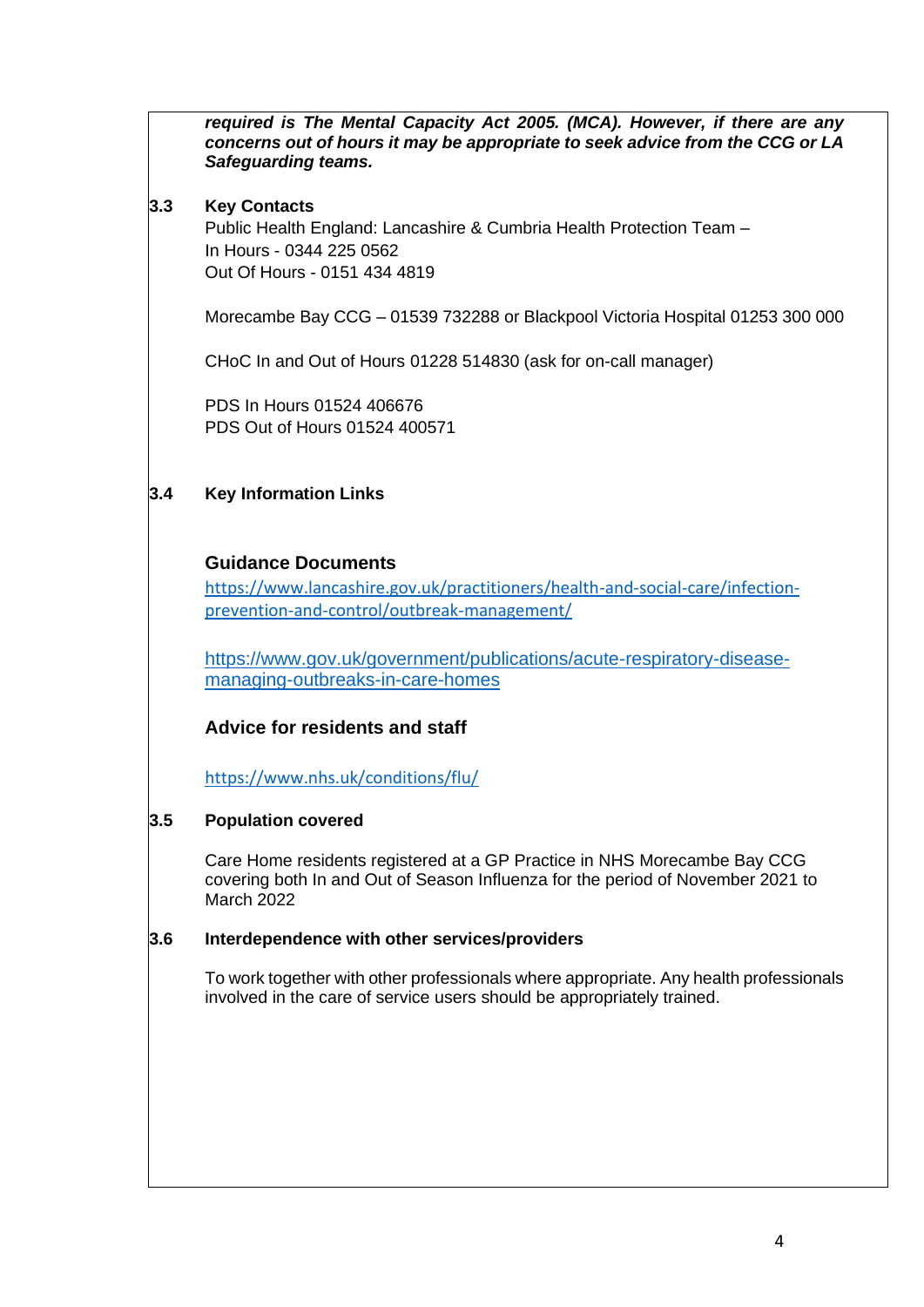*required is The Mental Capacity Act 2005. (MCA). However, if there are any concerns out of hours it may be appropriate to seek advice from the CCG or LA Safeguarding teams.*

### **3.3 Key Contacts**

Public Health England: Lancashire & Cumbria Health Protection Team – In Hours - 0344 225 0562 Out Of Hours - 0151 434 4819

Morecambe Bay CCG – 01539 732288 or Blackpool Victoria Hospital 01253 300 000

CHoC In and Out of Hours 01228 514830 (ask for on-call manager)

PDS In Hours 01524 406676 PDS Out of Hours 01524 400571

## **3.4 Key Information Links**

## **Guidance Documents**

[https://www.lancashire.gov.uk/practitioners/health-and-social-care/infection](https://www.lancashire.gov.uk/practitioners/health-and-social-care/infection-prevention-and-control/outbreak-management/)[prevention-and-control/outbreak-management/](https://www.lancashire.gov.uk/practitioners/health-and-social-care/infection-prevention-and-control/outbreak-management/)

[https://www.gov.uk/government/publications/acute-respiratory-disease](https://www.gov.uk/government/publications/acute-respiratory-disease-managing-outbreaks-in-care-homes)[managing-outbreaks-in-care-homes](https://www.gov.uk/government/publications/acute-respiratory-disease-managing-outbreaks-in-care-homes)

# **Advice for residents and staff**

<https://www.nhs.uk/conditions/flu/>

## **3.5 Population covered**

Care Home residents registered at a GP Practice in NHS Morecambe Bay CCG covering both In and Out of Season Influenza for the period of November 2021 to March 2022

### **3.6 Interdependence with other services/providers**

To work together with other professionals where appropriate. Any health professionals involved in the care of service users should be appropriately trained.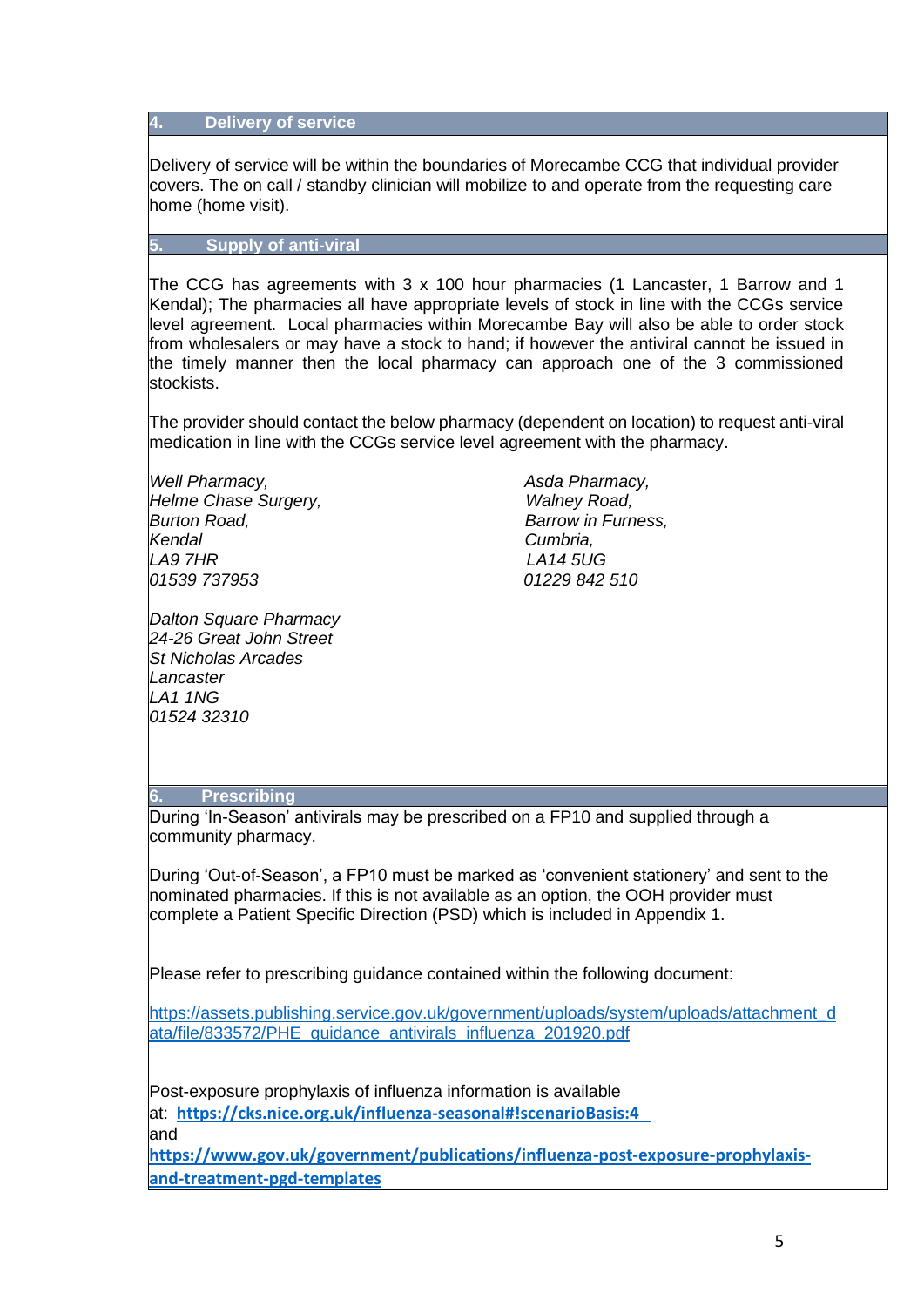#### **4. Delivery of service**

Delivery of service will be within the boundaries of Morecambe CCG that individual provider covers. The on call / standby clinician will mobilize to and operate from the requesting care home (home visit).

#### **5. Supply of anti-viral**

The CCG has agreements with 3 x 100 hour pharmacies (1 Lancaster, 1 Barrow and 1 Kendal); The pharmacies all have appropriate levels of stock in line with the CCGs service level agreement. Local pharmacies within Morecambe Bay will also be able to order stock from wholesalers or may have a stock to hand; if however the antiviral cannot be issued in the timely manner then the local pharmacy can approach one of the 3 commissioned stockists.

The provider should contact the below pharmacy (dependent on location) to request anti-viral medication in line with the CCGs service level agreement with the pharmacy.

*Well Pharmacy,*  $\blacksquare$  Asda Pharmacy, *Helme Chase Surgery,* Walney Road, *Burton Road, Barrow in Furness, LA9 7HR LA14 5UG 01539 737953 01229 842 510*

*Dalton Square Pharmacy 24-26 Great John Street St Nicholas Arcades Lancaster LA1 1NG 01524 32310*

*Kendal Cumbria,*

#### **6. Prescribing**

During 'In-Season' antivirals may be prescribed on a FP10 and supplied through a community pharmacy.

During 'Out-of-Season', a FP10 must be marked as 'convenient stationery' and sent to the nominated pharmacies. If this is not available as an option, the OOH provider must complete a Patient Specific Direction (PSD) which is included in Appendix 1.

Please refer to prescribing guidance contained within the following document:

[https://assets.publishing.service.gov.uk/government/uploads/system/uploads/attachment\\_d](https://assets.publishing.service.gov.uk/government/uploads/system/uploads/attachment_data/file/833572/PHE_guidance_antivirals_influenza_201920.pdf) [ata/file/833572/PHE\\_guidance\\_antivirals\\_influenza\\_201920.pdf](https://assets.publishing.service.gov.uk/government/uploads/system/uploads/attachment_data/file/833572/PHE_guidance_antivirals_influenza_201920.pdf)

Post-exposure prophylaxis of influenza information is available at: **<https://cks.nice.org.uk/influenza-seasonal#!scenarioBasis:4>** and

**[https://www.gov.uk/government/publications/influenza-post-exposure-prophylaxis](https://www.gov.uk/government/publications/influenza-post-exposure-prophylaxis-and-treatment-pgd-templates)[and-treatment-pgd-templates](https://www.gov.uk/government/publications/influenza-post-exposure-prophylaxis-and-treatment-pgd-templates)**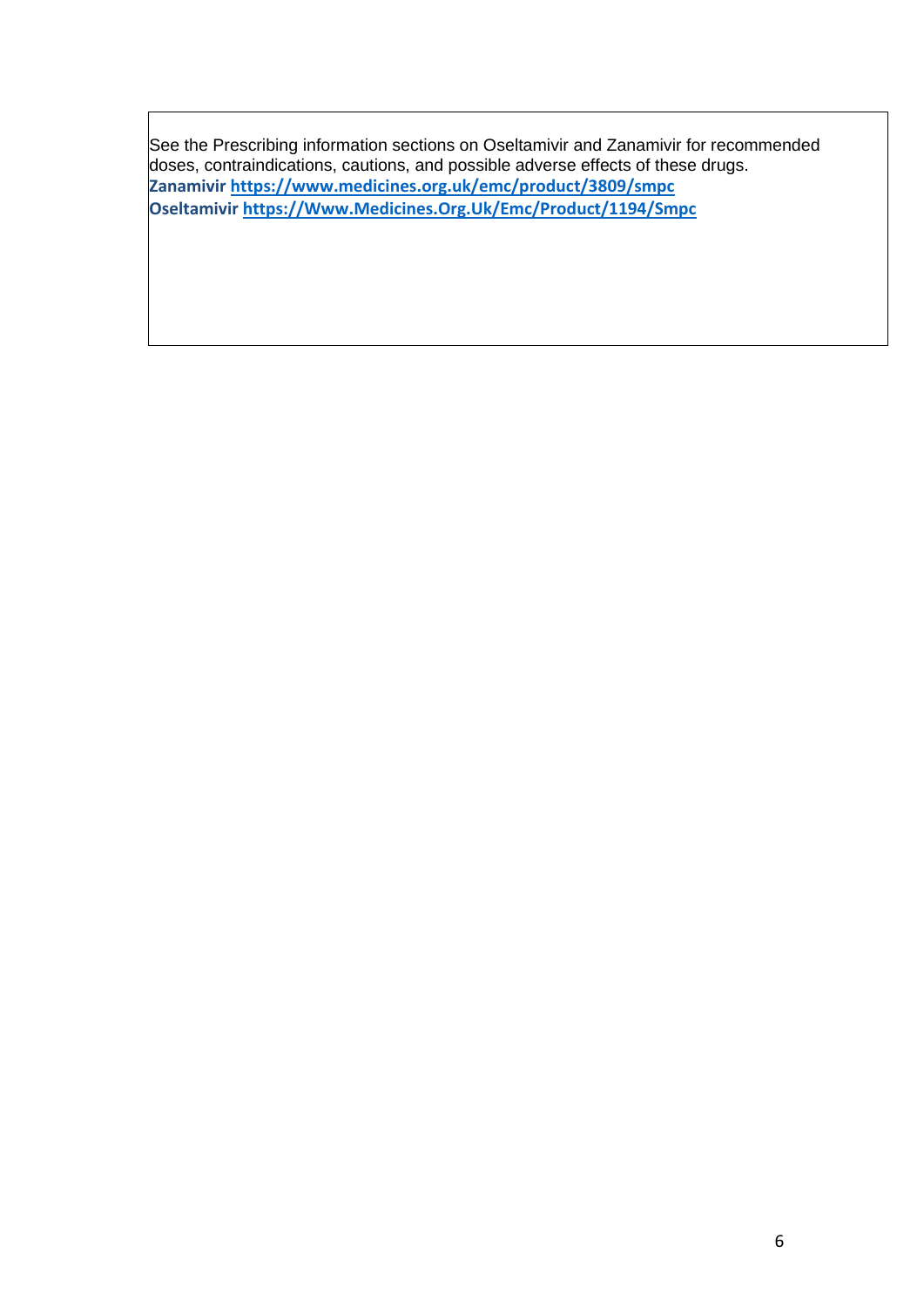See the Prescribing information sections on Oseltamivir and Zanamivir for recommended doses, contraindications, cautions, and possible adverse effects of these drugs. **Zanamivir<https://www.medicines.org.uk/emc/product/3809/smpc> Oseltamivir [https://Www.Medicines.Org.Uk/Emc/Product/1194/Smpc](https://www.medicines.org.uk/Emc/Product/1194/Smpc)**